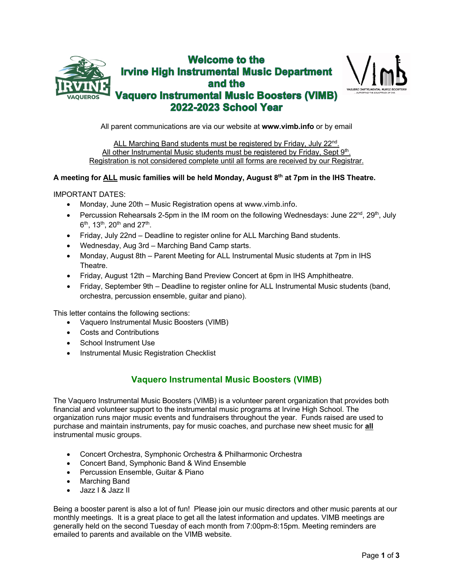



All parent communications are via our website at **www.vimb.info** or by email

ALL Marching Band students must be registered by Friday, July 22<sup>nd</sup>. All other Instrumental Music students must be registered by Friday, Sept  $9<sup>th</sup>$ . Registration is not considered complete until all forms are received by our Registrar.

#### **A meeting for ALL music families will be held Monday, August 8th at 7pm in the IHS Theatre.**

IMPORTANT DATES:

- Monday, June 20th Music Registration opens at www.vimb.info.
- Percussion Rehearsals 2-5pm in the IM room on the following Wednesdays: June  $22<sup>nd</sup>$ ,  $29<sup>th</sup>$ , July  $6^{th}$ , 13<sup>th</sup>, 20<sup>th</sup> and 27<sup>th</sup>.
- Friday, July 22nd Deadline to register online for ALL Marching Band students.
- Wednesday, Aug 3rd Marching Band Camp starts.
- Monday, August 8th Parent Meeting for ALL Instrumental Music students at 7pm in IHS Theatre.
- Friday, August 12th Marching Band Preview Concert at 6pm in IHS Amphitheatre.
- Friday, September 9th Deadline to register online for ALL Instrumental Music students (band, orchestra, percussion ensemble, guitar and piano).

This letter contains the following sections:

- Vaquero Instrumental Music Boosters (VIMB)
- Costs and Contributions
- School Instrument Use
- Instrumental Music Registration Checklist

### **Vaquero Instrumental Music Boosters (VIMB)**

The Vaquero Instrumental Music Boosters (VIMB) is a volunteer parent organization that provides both financial and volunteer support to the instrumental music programs at Irvine High School. The organization runs major music events and fundraisers throughout the year. Funds raised are used to purchase and maintain instruments, pay for music coaches, and purchase new sheet music for **all** instrumental music groups.

- Concert Orchestra, Symphonic Orchestra & Philharmonic Orchestra
- Concert Band, Symphonic Band & Wind Ensemble
- Percussion Ensemble, Guitar & Piano
- Marching Band
- Jazz I & Jazz II

Being a booster parent is also a lot of fun! Please join our music directors and other music parents at our monthly meetings. It is a great place to get all the latest information and updates. VIMB meetings are generally held on the second Tuesday of each month from 7:00pm-8:15pm*.* Meeting reminders are emailed to parents and available on the VIMB website.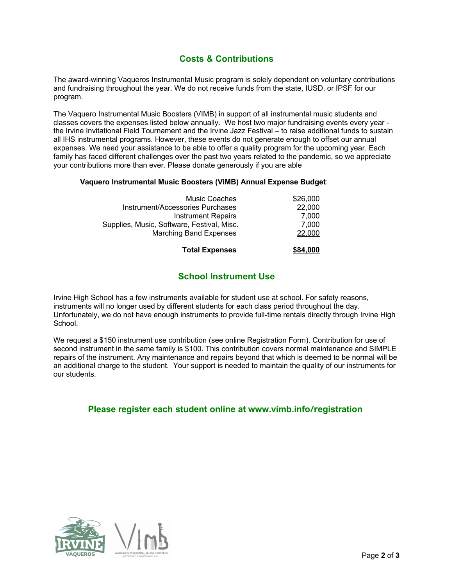# **Costs & Contributions**

The award-winning Vaqueros Instrumental Music program is solely dependent on voluntary contributions and fundraising throughout the year. We do not receive funds from the state, IUSD, or IPSF for our program.

The Vaquero Instrumental Music Boosters (VIMB) in support of all instrumental music students and classes covers the expenses listed below annually. We host two major fundraising events every year the Irvine Invitational Field Tournament and the Irvine Jazz Festival – to raise additional funds to sustain all IHS instrumental programs. However, these events do not generate enough to offset our annual expenses. We need your assistance to be able to offer a quality program for the upcoming year. Each family has faced different challenges over the past two years related to the pandemic, so we appreciate your contributions more than ever. Please donate generously if you are able

#### **Vaquero Instrumental Music Boosters (VIMB) Annual Expense Budget**:

| <b>Total Expenses</b>                      | \$84,000 |
|--------------------------------------------|----------|
| <b>Marching Band Expenses</b>              | 22,000   |
| Supplies, Music, Software, Festival, Misc. | 7.000    |
| <b>Instrument Repairs</b>                  | 7.000    |
| Instrument/Accessories Purchases           | 22,000   |
| Music Coaches                              | \$26,000 |

# **School Instrument Use**

Irvine High School has a few instruments available for student use at school. For safety reasons, instruments will no longer used by different students for each class period throughout the day. Unfortunately, we do not have enough instruments to provide full-time rentals directly through Irvine High School.

We request a \$150 instrument use contribution (see online Registration Form). Contribution for use of second instrument in the same family is \$100. This contribution covers normal maintenance and SIMPLE repairs of the instrument. Any maintenance and repairs beyond that which is deemed to be normal will be an additional charge to the student. Your support is needed to maintain the quality of our instruments for our students.

### **Please register each student online at www.vimb.info**/**registration**